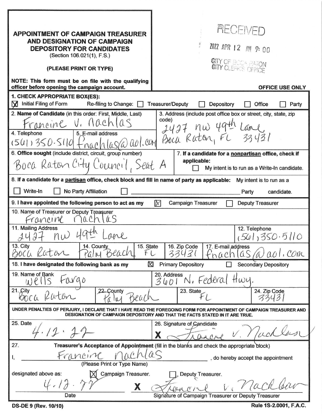| <b>APPOINTMENT OF CAMPAIGN TREASURER</b><br><b>AND DESIGNATION OF CAMPAIGN</b><br><b>DEPOSITORY FOR CANDIDATES</b><br>(Section 106.021(1), F.S.)<br>(PLEASE PRINT OR TYPE)                          | <b>AECEN/ED</b><br>Z022 APR 12 AM 9:00<br><b>GITY OF BOOK RATON</b>                                                                                              |
|-----------------------------------------------------------------------------------------------------------------------------------------------------------------------------------------------------|------------------------------------------------------------------------------------------------------------------------------------------------------------------|
| NOTE: This form must be on file with the qualifying<br>officer before opening the campaign account.                                                                                                 | <b>OFFICE USE ONLY</b>                                                                                                                                           |
| 1. CHECK APPROPRIATE BOX(ES):                                                                                                                                                                       |                                                                                                                                                                  |
| Initial Filing of Form<br>Re-filing to Change:<br>M                                                                                                                                                 | <b>Treasurer/Deputy</b><br>Depository<br>Office<br>Party                                                                                                         |
| 2. Name of Candidate (in this order: First, Middle, Last)<br>rancine V. Machlas<br>5. E-mail address<br>4. Telephone<br>(501)350.510<br>6. Office sought (include district, circuit, group number)  | 3. Address (include post office box or street, city, state, zip<br>code)<br>aol.com Boca Raton, FL 33431<br>7. If a candidate for a nonpartisan office, check if |
| Boca Raton City Council, Seat A                                                                                                                                                                     | applicable:                                                                                                                                                      |
| My intent is to run as a Write-In candidate.                                                                                                                                                        |                                                                                                                                                                  |
| 8. If a candidate for a partisan office, check block and fill in name of party as applicable:                                                                                                       | My intent is to run as a                                                                                                                                         |
| Write-In<br>No Party Affiliation                                                                                                                                                                    | Party<br>candidate.                                                                                                                                              |
| 9. I have appointed the following person to act as my<br>$\mathbb{X}$<br><b>Campaign Treasurer</b><br>Deputy Treasurer                                                                              |                                                                                                                                                                  |
| 10. Name of Treasurer or Deputy Treasurer<br>rancine                                                                                                                                                |                                                                                                                                                                  |
| 11. Mailing Address<br>2427<br>$n_{W}$<br>apre<br>13. City<br>14. County<br>15. State<br>BOCU<br>FL<br>Katan<br>Beacl                                                                               | 12. Telephone<br>(561)350.5110<br>16. Zip Code<br>17. E-mail address<br>COM<br>334<br>001<br>$hat$ ch                                                            |
| X<br>18. I have designated the following bank as my                                                                                                                                                 | <b>Primary Depository</b><br><b>Secondary Depository</b><br>П                                                                                                    |
| 19. Name of Bank<br>t0000<br>$U$ $\ell$                                                                                                                                                             | 20. Address<br>Federal<br>How.<br>3601                                                                                                                           |
| 21. Çity<br>22. County<br>BOCK                                                                                                                                                                      | 23. State<br>24. Zip Code                                                                                                                                        |
| UNDER PENALTIES OF PERJURY, I DECLARE THAT I HAVE READ THE FOREGOING FORM FOR APPOINTMENT OF CAMPAIGN TREASURER AND<br>DESIGNATION OF CAMPAIGN DEPOSITORY AND THAT THE FACTS STATED IN IT ARE TRUE. |                                                                                                                                                                  |
| 25. Date<br>.12                                                                                                                                                                                     | 26. Signature of Candidate<br>X                                                                                                                                  |
| 27.<br>Treasurer's Acceptance of Appointment (fill in the blanks and check the appropriate block)                                                                                                   |                                                                                                                                                                  |
| Francinc<br>, do hereby accept the appointment                                                                                                                                                      |                                                                                                                                                                  |
| (Please Print or Type Name)<br>designated above as:<br>Campaign Treasurer.                                                                                                                          |                                                                                                                                                                  |
| X                                                                                                                                                                                                   | Deputy Treasurer.<br>V/aC<br>AACC1                                                                                                                               |
| Date                                                                                                                                                                                                | Signature of Campaign Treasurer or Deputy Treasurer                                                                                                              |